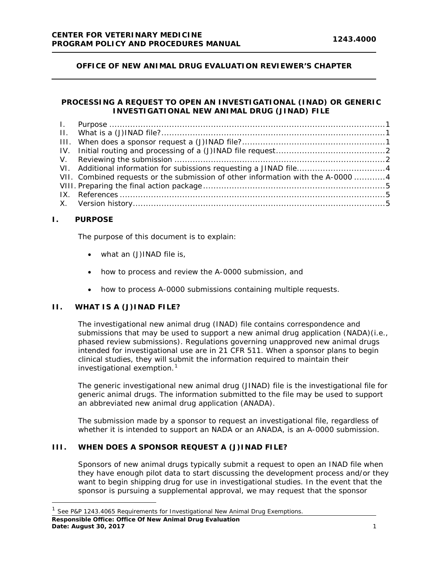# **OFFICE OF NEW ANIMAL DRUG EVALUATION REVIEWER'S CHAPTER**

# **PROCESSING A REQUEST TO OPEN AN INVESTIGATIONAL (INAD) OR GENERIC INVESTIGATIONAL NEW ANIMAL DRUG (JINAD) FILE**

| VI. Additional information for subissions requesting a JINAD file4               |  |
|----------------------------------------------------------------------------------|--|
| VII. Combined requests or the submission of other information with the A-0000  4 |  |
|                                                                                  |  |
|                                                                                  |  |
|                                                                                  |  |
|                                                                                  |  |

## <span id="page-0-0"></span>**I. PURPOSE**

The purpose of this document is to explain:

- what an (J)INAD file is,
- how to process and review the A-0000 submission, and
- how to process A-0000 submissions containing multiple requests.

# <span id="page-0-1"></span>**II. WHAT IS A (J)INAD FILE?**

The investigational new animal drug (INAD) file contains correspondence and submissions that may be used to support a new animal drug application (NADA)(i.e., phased review submissions). Regulations governing unapproved new animal drugs intended for investigational use are in 21 CFR 511. When a sponsor plans to begin clinical studies, they will submit the information required to maintain their investigational exemption.<sup>[1](#page-0-3)</sup>

The generic investigational new animal drug (JINAD) file is the investigational file for generic animal drugs. The information submitted to the file may be used to support an abbreviated new animal drug application (ANADA).

The submission made by a sponsor to request an investigational file, regardless of whether it is intended to support an NADA or an ANADA, is an A-0000 submission.

### <span id="page-0-2"></span>**III. WHEN DOES A SPONSOR REQUEST A (J)INAD FILE?**

Sponsors of new animal drugs typically submit a request to open an INAD file when they have enough pilot data to start discussing the development process and/or they want to begin shipping drug for use in investigational studies. In the event that the sponsor is pursuing a supplemental approval, we may request that the sponsor

l

<span id="page-0-3"></span>**Responsible Office: Office Of New Animal Drug Evaluation Date: August 30, 2017** 1 <sup>1</sup> See P&P 1243.4065 Requirements for Investigational New Animal Drug Exemptions.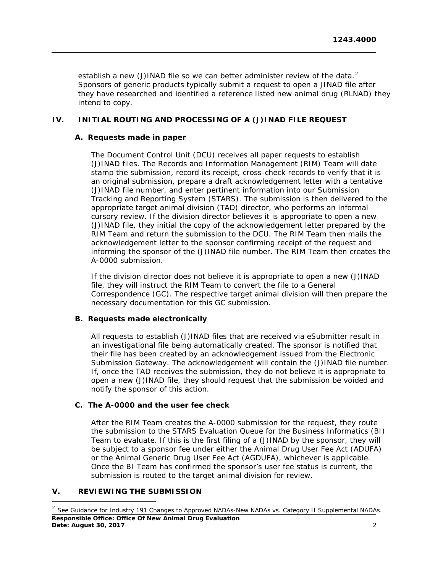establish a new (J)INAD file so we can better administer review of the data.<sup>[2](#page-1-2)</sup> Sponsors of generic products typically submit a request to open a JINAD file after they have researched and identified a reference listed new animal drug (RLNAD) they intend to copy.

# <span id="page-1-0"></span>**IV. INITIAL ROUTING AND PROCESSING OF A (J)INAD FILE REQUEST**

## **A. Requests made in paper**

The Document Control Unit (DCU) receives all paper requests to establish (J)INAD files. The Records and Information Management (RIM) Team will date stamp the submission, record its receipt, cross-check records to verify that it is an original submission, prepare a draft acknowledgement letter with a tentative (J)INAD file number, and enter pertinent information into our Submission Tracking and Reporting System (STARS). The submission is then delivered to the appropriate target animal division (TAD) director, who performs an informal cursory review. If the division director believes it is appropriate to open a new (J)INAD file, they initial the copy of the acknowledgement letter prepared by the RIM Team and return the submission to the DCU. The RIM Team then mails the acknowledgement letter to the sponsor confirming receipt of the request and informing the sponsor of the (J)INAD file number. The RIM Team then creates the A-0000 submission.

If the division director does not believe it is appropriate to open a new (J)INAD file, they will instruct the RIM Team to convert the file to a General Correspondence (GC). The respective target animal division will then prepare the necessary documentation for this GC submission.

# **B. Requests made electronically**

All requests to establish (J)INAD files that are received via eSubmitter result in an investigational file being automatically created. The sponsor is notified that their file has been created by an acknowledgement issued from the Electronic Submission Gateway. The acknowledgement will contain the (J)INAD file number. If, once the TAD receives the submission, they do not believe it is appropriate to open a new (J)INAD file, they should request that the submission be voided and notify the sponsor of this action.

#### **C. The A-0000 and the user fee check**

After the RIM Team creates the A-0000 submission for the request, they route the submission to the STARS Evaluation Queue for the Business Informatics (BI) Team to evaluate. If this is the first filing of a (J)INAD by the sponsor, they will be subject to a sponsor fee under either the Animal Drug User Fee Act (ADUFA) or the Animal Generic Drug User Fee Act (AGDUFA), whichever is applicable. Once the BI Team has confirmed the sponsor's user fee status is current, the submission is routed to the target animal division for review.

# <span id="page-1-1"></span>**V. REVIEWING THE SUBMISSION**

 $\overline{\phantom{a}}$ 

<span id="page-1-2"></span>**Responsible Office: Office Of New Animal Drug Evaluation Date: August 30, 2017** 2 <sup>2</sup> See Guidance for Industry 191 Changes to Approved NADAs-New NADAs vs. Category II Supplemental NADAs.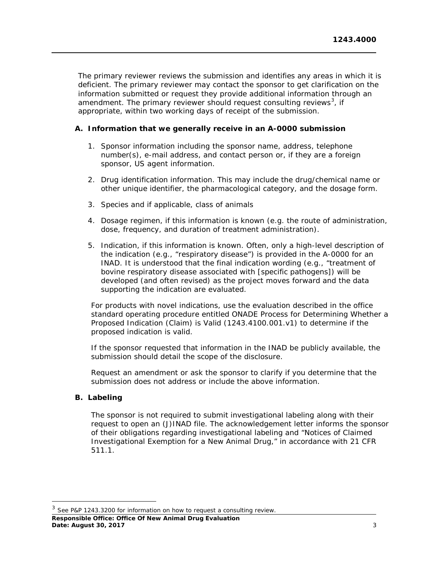The primary reviewer reviews the submission and identifies any areas in which it is deficient. The primary reviewer may contact the sponsor to get clarification on the information submitted or request they provide additional information through an amendment. The primary reviewer should request consulting reviews<sup>[3](#page-2-0)</sup>, if appropriate, within two working days of receipt of the submission.

# **A. Information that we generally receive in an A-0000 submission**

- 1. Sponsor information including the sponsor name, address, telephone number(s), e-mail address, and contact person or, if they are a foreign sponsor, US agent information.
- 2. Drug identification information. This may include the drug/chemical name or other unique identifier, the pharmacological category, and the dosage form.
- 3. Species and if applicable, class of animals
- 4. Dosage regimen, if this information is known (e.g. the route of administration, dose, frequency, and duration of treatment administration).
- 5. Indication, if this information is known. Often, only a high-level description of the indication (e.g., "respiratory disease") is provided in the A-0000 for an INAD. It is understood that the final indication wording (e.g., "treatment of bovine respiratory disease associated with [specific pathogens]) will be developed (and often revised) as the project moves forward and the data supporting the indication are evaluated.

For products with novel indications, use the evaluation described in the office standard operating procedure entitled ONADE Process for Determining Whether a Proposed Indication (Claim) is Valid (1243.4100.001.v1) to determine if the proposed indication is valid.

If the sponsor requested that information in the INAD be publicly available, the submission should detail the scope of the disclosure.

Request an amendment or ask the sponsor to clarify if you determine that the submission does not address or include the above information.

#### **B. Labeling**

The sponsor is not required to submit investigational labeling along with their request to open an (J)INAD file. The acknowledgement letter informs the sponsor of their obligations regarding investigational labeling and "Notices of Claimed Investigational Exemption for a New Animal Drug," in accordance with 21 CFR 511.1.

**Responsible Office: Office Of New Animal Drug Evaluation Date: August 30, 2017** 3

<span id="page-2-0"></span> $3$  See P&P 1243.3200 for information on how to request a consulting review.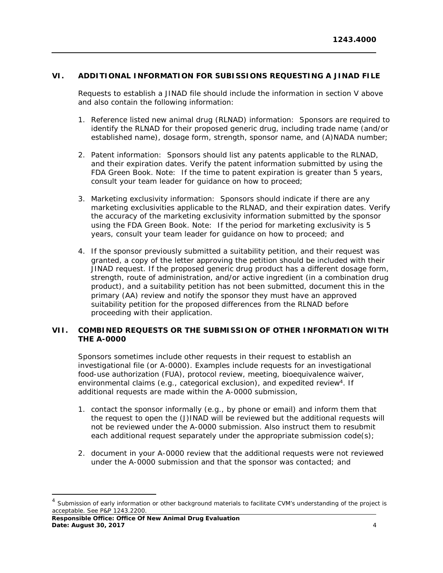# <span id="page-3-0"></span>**VI. ADDITIONAL INFORMATION FOR SUBISSIONS REQUESTING A JINAD FILE**

Requests to establish a JINAD file should include the information in section V above and also contain the following information:

- 1. Reference listed new animal drug (RLNAD) information: Sponsors are required to identify the RLNAD for their proposed generic drug, including trade name (and/or established name), dosage form, strength, sponsor name, and (A)NADA number;
- 2. Patent information: Sponsors should list any patents applicable to the RLNAD, and their expiration dates. Verify the patent information submitted by using the FDA Green Book. Note: If the time to patent expiration is greater than 5 years, consult your team leader for guidance on how to proceed;
- 3. Marketing exclusivity information: Sponsors should indicate if there are any marketing exclusivities applicable to the RLNAD, and their expiration dates. Verify the accuracy of the marketing exclusivity information submitted by the sponsor using the FDA Green Book. Note: If the period for marketing exclusivity is 5 years, consult your team leader for guidance on how to proceed; and
- 4. If the sponsor previously submitted a suitability petition, and their request was granted, a copy of the letter approving the petition should be included with their JINAD request. If the proposed generic drug product has a different dosage form, strength, route of administration, and/or active ingredient (in a combination drug product), and a suitability petition has not been submitted, document this in the primary (AA) review and notify the sponsor they must have an approved suitability petition for the proposed differences from the RLNAD before proceeding with their application.

# <span id="page-3-1"></span>**VII. COMBINED REQUESTS OR THE SUBMISSION OF OTHER INFORMATION WITH THE A-0000**

Sponsors sometimes include other requests in their request to establish an investigational file (or A-0000). Examples include requests for an investigational food-use authorization (FUA), protocol review, meeting, bioequivalence waiver, environmental claims (e.g., categorical exclusion), and expedited review<sup>4</sup>[.](#page-3-2) If additional requests are made within the A-0000 submission,

- 1. contact the sponsor informally (e.g., by phone or email) and inform them that the request to open the (J)INAD will be reviewed but the additional requests will not be reviewed under the A-0000 submission. Also instruct them to resubmit each additional request separately under the appropriate submission code(s);
- 2. document in your A-0000 review that the additional requests were not reviewed under the A-0000 submission and that the sponsor was contacted; and

**Responsible Office: Office Of New Animal Drug Evaluation Date: August 30, 2017** 4

<span id="page-3-2"></span><sup>&</sup>lt;sup>4</sup> Submission of early information or other background materials to facilitate CVM's understanding of the project is acceptable. See P&P 1243.2200.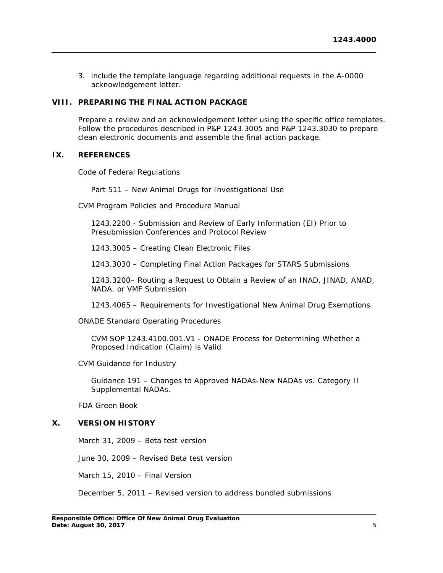3. include the template language regarding additional requests in the A-0000 acknowledgement letter.

## <span id="page-4-0"></span>**VIII. PREPARING THE FINAL ACTION PACKAGE**

Prepare a review and an acknowledgement letter using the specific office templates. Follow the procedures described in P&P 1243.3005 and P&P 1243.3030 to prepare clean electronic documents and assemble the final action package.

## <span id="page-4-1"></span>**IX. REFERENCES**

Code of Federal Regulations

Part 511 – New Animal Drugs for Investigational Use

CVM Program Policies and Procedure Manual

1243.2200 - Submission and Review of Early Information (EI) Prior to Presubmission Conferences and Protocol Review

1243.3005 – Creating Clean Electronic Files

1243.3030 – Completing Final Action Packages for STARS Submissions

1243.3200– Routing a Request to Obtain a Review of an INAD, JINAD, ANAD, NADA, or VMF Submission

1243.4065 – Requirements for Investigational New Animal Drug Exemptions

ONADE Standard Operating Procedures

CVM SOP 1243.4100.001.V1 - ONADE Process for Determining Whether a Proposed Indication (Claim) is Valid

CVM Guidance for Industry

Guidance 191 – Changes to Approved NADAs-New NADAs vs. Category II Supplemental NADAs.

FDA Green Book

# <span id="page-4-2"></span>**X. VERSION HISTORY**

March 31, 2009 – Beta test version

June 30, 2009 – Revised Beta test version

March 15, 2010 – Final Version

December 5, 2011 – Revised version to address bundled submissions